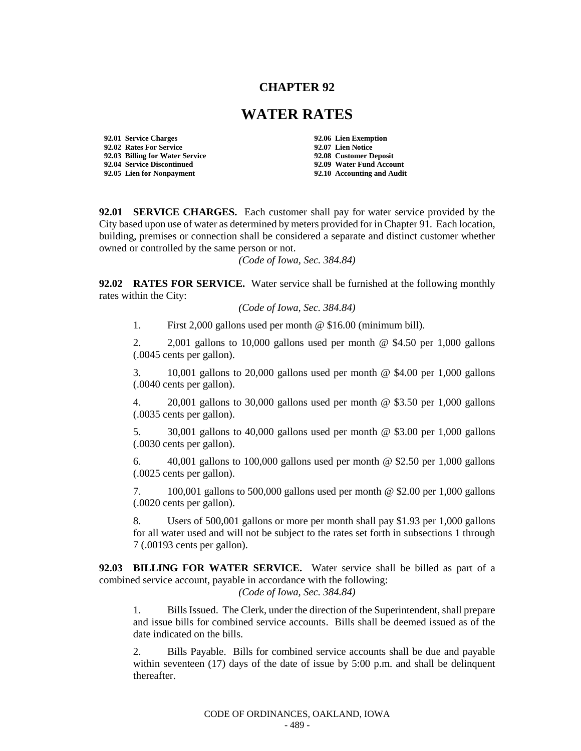## **CHAPTER 92**

## **WATER RATES**

**92.01 Service Charges 92.06 Lien Exemption 92.02 Rates For Service 92.07 Lien Notice 92.03 Billing for Water Service 92.04 Service Discontinued 92.09 Water Fund Account**

**92.05 Lien for Nonpayment 92.10 Accounting and Audit**

**92.01 SERVICE CHARGES.** Each customer shall pay for water service provided by the City based upon use of water as determined by meters provided for in Chapter 91. Each location, building, premises or connection shall be considered a separate and distinct customer whether owned or controlled by the same person or not.

*(Code of Iowa, Sec. 384.84)* 

**92.02 RATES FOR SERVICE.** Water service shall be furnished at the following monthly rates within the City:

*(Code of Iowa, Sec. 384.84)*

1. First 2,000 gallons used per month @ \$16.00 (minimum bill).

2. 2,001 gallons to 10,000 gallons used per month @ \$4.50 per 1,000 gallons (.0045 cents per gallon).

3. 10,001 gallons to 20,000 gallons used per month @ \$4.00 per 1,000 gallons (.0040 cents per gallon).

4. 20,001 gallons to 30,000 gallons used per month @ \$3.50 per 1,000 gallons (.0035 cents per gallon).

5. 30,001 gallons to 40,000 gallons used per month @ \$3.00 per 1,000 gallons (.0030 cents per gallon).

6.  $40,001$  gallons to 100,000 gallons used per month  $\omega$  \$2.50 per 1,000 gallons (.0025 cents per gallon).

7. 100,001 gallons to 500,000 gallons used per month @ \$2.00 per 1,000 gallons (.0020 cents per gallon).

8. Users of 500,001 gallons or more per month shall pay \$1.93 per 1,000 gallons for all water used and will not be subject to the rates set forth in subsections 1 through 7 (.00193 cents per gallon).

**92.03 BILLING FOR WATER SERVICE.** Water service shall be billed as part of a combined service account, payable in accordance with the following:

*(Code of Iowa, Sec. 384.84)*

1. Bills Issued. The Clerk, under the direction of the Superintendent, shall prepare and issue bills for combined service accounts. Bills shall be deemed issued as of the date indicated on the bills.

2. Bills Payable. Bills for combined service accounts shall be due and payable within seventeen  $(17)$  days of the date of issue by 5:00 p.m. and shall be delinquent thereafter.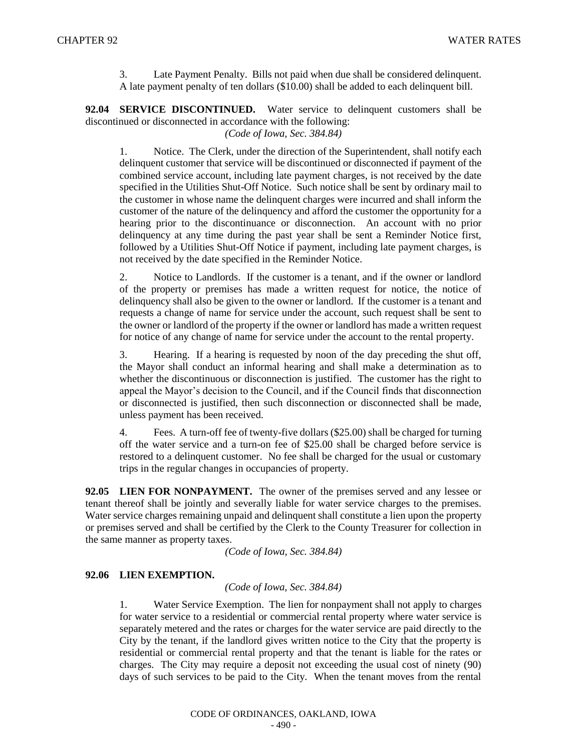3. Late Payment Penalty. Bills not paid when due shall be considered delinquent. A late payment penalty of ten dollars (\$10.00) shall be added to each delinquent bill.

**92.04 SERVICE DISCONTINUED.** Water service to delinquent customers shall be discontinued or disconnected in accordance with the following:

*(Code of Iowa, Sec. 384.84)*

1. Notice. The Clerk, under the direction of the Superintendent, shall notify each delinquent customer that service will be discontinued or disconnected if payment of the combined service account, including late payment charges, is not received by the date specified in the Utilities Shut-Off Notice. Such notice shall be sent by ordinary mail to the customer in whose name the delinquent charges were incurred and shall inform the customer of the nature of the delinquency and afford the customer the opportunity for a hearing prior to the discontinuance or disconnection. An account with no prior delinquency at any time during the past year shall be sent a Reminder Notice first, followed by a Utilities Shut-Off Notice if payment, including late payment charges, is not received by the date specified in the Reminder Notice.

2. Notice to Landlords. If the customer is a tenant, and if the owner or landlord of the property or premises has made a written request for notice, the notice of delinquency shall also be given to the owner or landlord. If the customer is a tenant and requests a change of name for service under the account, such request shall be sent to the owner or landlord of the property if the owner or landlord has made a written request for notice of any change of name for service under the account to the rental property.

3. Hearing. If a hearing is requested by noon of the day preceding the shut off, the Mayor shall conduct an informal hearing and shall make a determination as to whether the discontinuous or disconnection is justified. The customer has the right to appeal the Mayor's decision to the Council, and if the Council finds that disconnection or disconnected is justified, then such disconnection or disconnected shall be made, unless payment has been received.

4. Fees. A turn-off fee of twenty-five dollars (\$25.00) shall be charged for turning off the water service and a turn-on fee of \$25.00 shall be charged before service is restored to a delinquent customer. No fee shall be charged for the usual or customary trips in the regular changes in occupancies of property.

**92.05 LIEN FOR NONPAYMENT.** The owner of the premises served and any lessee or tenant thereof shall be jointly and severally liable for water service charges to the premises. Water service charges remaining unpaid and delinquent shall constitute a lien upon the property or premises served and shall be certified by the Clerk to the County Treasurer for collection in the same manner as property taxes.

*(Code of Iowa, Sec. 384.84)* 

## **92.06 LIEN EXEMPTION.**

*(Code of Iowa, Sec. 384.84)*

1. Water Service Exemption. The lien for nonpayment shall not apply to charges for water service to a residential or commercial rental property where water service is separately metered and the rates or charges for the water service are paid directly to the City by the tenant, if the landlord gives written notice to the City that the property is residential or commercial rental property and that the tenant is liable for the rates or charges. The City may require a deposit not exceeding the usual cost of ninety (90) days of such services to be paid to the City. When the tenant moves from the rental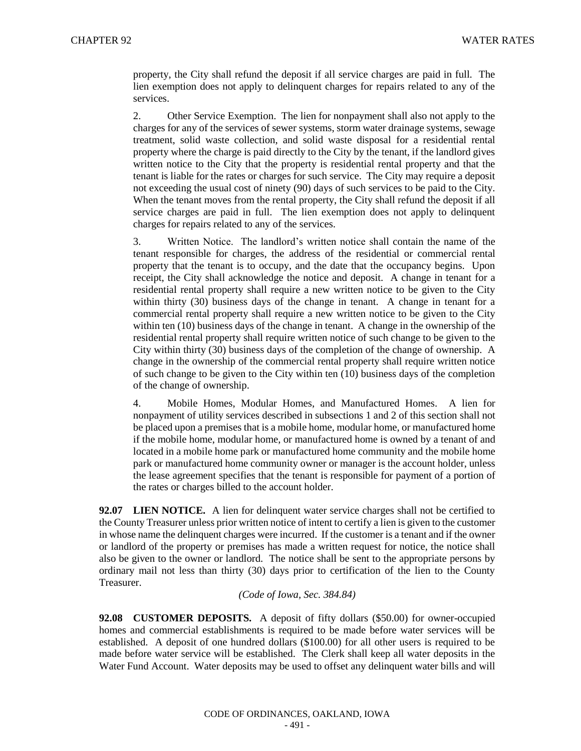property, the City shall refund the deposit if all service charges are paid in full. The lien exemption does not apply to delinquent charges for repairs related to any of the services.

2. Other Service Exemption. The lien for nonpayment shall also not apply to the charges for any of the services of sewer systems, storm water drainage systems, sewage treatment, solid waste collection, and solid waste disposal for a residential rental property where the charge is paid directly to the City by the tenant, if the landlord gives written notice to the City that the property is residential rental property and that the tenant is liable for the rates or charges for such service. The City may require a deposit not exceeding the usual cost of ninety (90) days of such services to be paid to the City. When the tenant moves from the rental property, the City shall refund the deposit if all service charges are paid in full. The lien exemption does not apply to delinquent charges for repairs related to any of the services.

3. Written Notice. The landlord's written notice shall contain the name of the tenant responsible for charges, the address of the residential or commercial rental property that the tenant is to occupy, and the date that the occupancy begins. Upon receipt, the City shall acknowledge the notice and deposit. A change in tenant for a residential rental property shall require a new written notice to be given to the City within thirty (30) business days of the change in tenant. A change in tenant for a commercial rental property shall require a new written notice to be given to the City within ten (10) business days of the change in tenant. A change in the ownership of the residential rental property shall require written notice of such change to be given to the City within thirty (30) business days of the completion of the change of ownership. A change in the ownership of the commercial rental property shall require written notice of such change to be given to the City within ten (10) business days of the completion of the change of ownership.

4. Mobile Homes, Modular Homes, and Manufactured Homes. A lien for nonpayment of utility services described in subsections 1 and 2 of this section shall not be placed upon a premises that is a mobile home, modular home, or manufactured home if the mobile home, modular home, or manufactured home is owned by a tenant of and located in a mobile home park or manufactured home community and the mobile home park or manufactured home community owner or manager is the account holder, unless the lease agreement specifies that the tenant is responsible for payment of a portion of the rates or charges billed to the account holder.

**92.07 LIEN NOTICE.** A lien for delinquent water service charges shall not be certified to the County Treasurer unless prior written notice of intent to certify a lien is given to the customer in whose name the delinquent charges were incurred. If the customer is a tenant and if the owner or landlord of the property or premises has made a written request for notice, the notice shall also be given to the owner or landlord. The notice shall be sent to the appropriate persons by ordinary mail not less than thirty (30) days prior to certification of the lien to the County Treasurer.

## *(Code of Iowa, Sec. 384.84)*

**92.08 CUSTOMER DEPOSITS.** A deposit of fifty dollars (\$50.00) for owner-occupied homes and commercial establishments is required to be made before water services will be established. A deposit of one hundred dollars (\$100.00) for all other users is required to be made before water service will be established. The Clerk shall keep all water deposits in the Water Fund Account. Water deposits may be used to offset any delinquent water bills and will